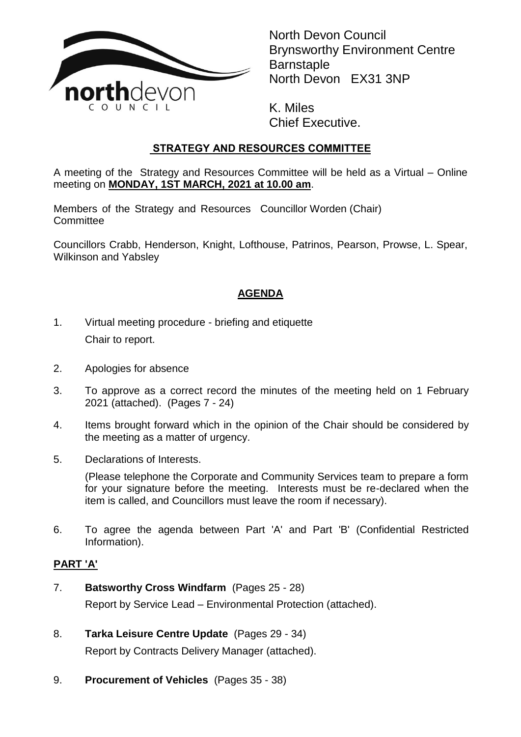

North Devon Council Brynsworthy Environment Centre **Barnstaple** North Devon EX31 3NP

K. Miles Chief Executive.

# **STRATEGY AND RESOURCES COMMITTEE**

A meeting of the Strategy and Resources Committee will be held as a Virtual – Online meeting on **MONDAY, 1ST MARCH, 2021 at 10.00 am**.

Members of the Strategy and Resources Councillor Worden (Chair) **Committee** 

Councillors Crabb, Henderson, Knight, Lofthouse, Patrinos, Pearson, Prowse, L. Spear, Wilkinson and Yabsley

## **AGENDA**

- 1. Virtual meeting procedure briefing and etiquette Chair to report.
- 2. Apologies for absence
- 3. To approve as a correct record the minutes of the meeting held on 1 February 2021 (attached). (Pages 7 - 24)
- 4. Items brought forward which in the opinion of the Chair should be considered by the meeting as a matter of urgency.
- 5. Declarations of Interests.

(Please telephone the Corporate and Community Services team to prepare a form for your signature before the meeting. Interests must be re-declared when the item is called, and Councillors must leave the room if necessary).

6. To agree the agenda between Part 'A' and Part 'B' (Confidential Restricted Information).

### **PART 'A'**

- 7. **Batsworthy Cross Windfarm** (Pages 25 28) Report by Service Lead – Environmental Protection (attached).
- 8. **Tarka Leisure Centre Update** (Pages 29 34) Report by Contracts Delivery Manager (attached).
- 9. **Procurement of Vehicles** (Pages 35 38)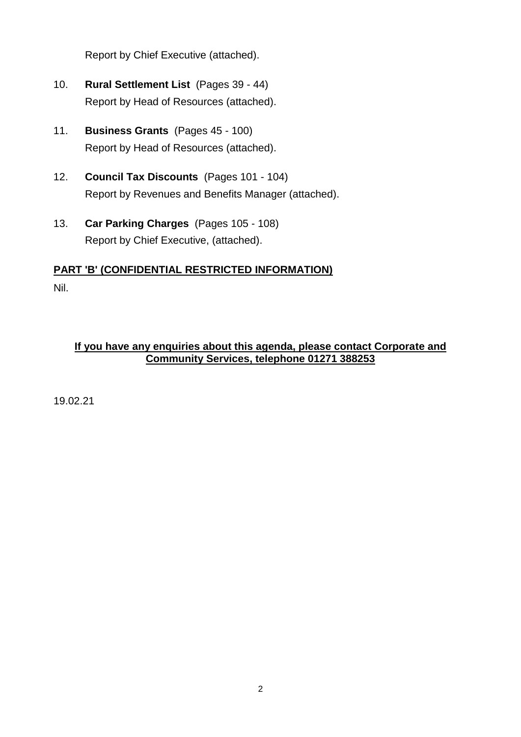Report by Chief Executive (attached).

- 10. **Rural Settlement List** (Pages 39 44) Report by Head of Resources (attached).
- 11. **Business Grants** (Pages 45 100) Report by Head of Resources (attached).
- 12. **Council Tax Discounts** (Pages 101 104) Report by Revenues and Benefits Manager (attached).
- 13. **Car Parking Charges** (Pages 105 108) Report by Chief Executive, (attached).

# **PART 'B' (CONFIDENTIAL RESTRICTED INFORMATION)**

Nil.

### **If you have any enquiries about this agenda, please contact Corporate and Community Services, telephone 01271 388253**

19.02.21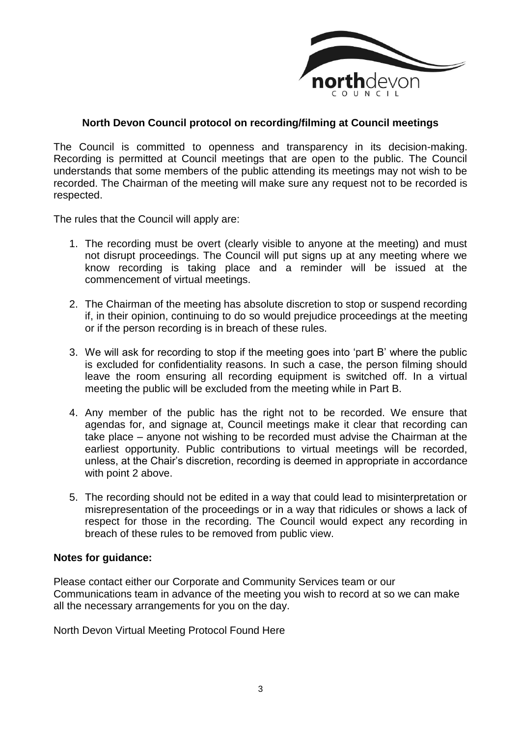

#### **North Devon Council protocol on recording/filming at Council meetings**

The Council is committed to openness and transparency in its decision-making. Recording is permitted at Council meetings that are open to the public. The Council understands that some members of the public attending its meetings may not wish to be recorded. The Chairman of the meeting will make sure any request not to be recorded is respected.

The rules that the Council will apply are:

- 1. The recording must be overt (clearly visible to anyone at the meeting) and must not disrupt proceedings. The Council will put signs up at any meeting where we know recording is taking place and a reminder will be issued at the commencement of virtual meetings.
- 2. The Chairman of the meeting has absolute discretion to stop or suspend recording if, in their opinion, continuing to do so would prejudice proceedings at the meeting or if the person recording is in breach of these rules.
- 3. We will ask for recording to stop if the meeting goes into 'part B' where the public is excluded for confidentiality reasons. In such a case, the person filming should leave the room ensuring all recording equipment is switched off. In a virtual meeting the public will be excluded from the meeting while in Part B.
- 4. Any member of the public has the right not to be recorded. We ensure that agendas for, and signage at, Council meetings make it clear that recording can take place – anyone not wishing to be recorded must advise the Chairman at the earliest opportunity. Public contributions to virtual meetings will be recorded, unless, at the Chair's discretion, recording is deemed in appropriate in accordance with point 2 above.
- 5. The recording should not be edited in a way that could lead to misinterpretation or misrepresentation of the proceedings or in a way that ridicules or shows a lack of respect for those in the recording. The Council would expect any recording in breach of these rules to be removed from public view.

#### **Notes for guidance:**

Please contact either our Corporate and Community Services team or our Communications team in advance of the meeting you wish to record at so we can make all the necessary arrangements for you on the day.

North Devon Virtual Meeting Protocol Found Here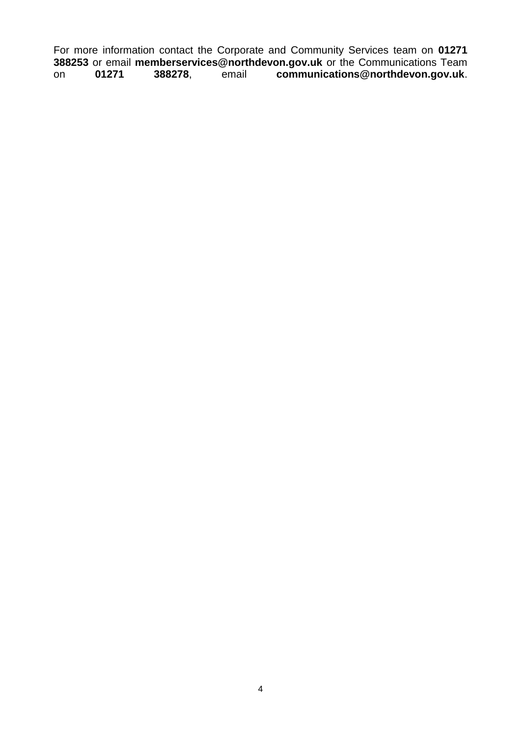For more information contact the Corporate and Community Services team on **01271 388253** or email **memberservices@northdevon.gov.uk** or the Communications Team on **01271 388278**, email **communications@northdevon.gov.uk**.